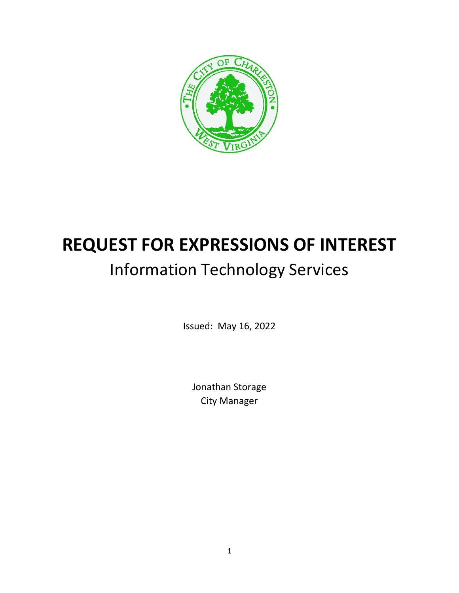

# **REQUEST FOR EXPRESSIONS OF INTEREST** Information Technology Services

Issued: May 16, 2022

Jonathan Storage City Manager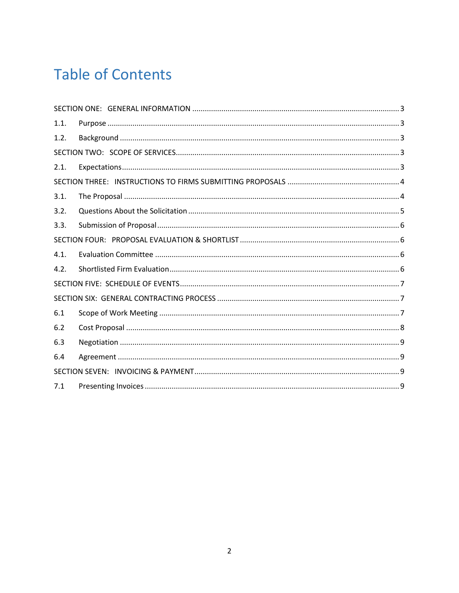# **Table of Contents**

| 1.1. |  |
|------|--|
| 1.2. |  |
|      |  |
| 2.1. |  |
|      |  |
| 3.1. |  |
| 3.2. |  |
| 3.3. |  |
|      |  |
| 4.1. |  |
| 4.2. |  |
|      |  |
|      |  |
| 6.1  |  |
| 6.2  |  |
| 6.3  |  |
| 6.4  |  |
|      |  |
| 7.1  |  |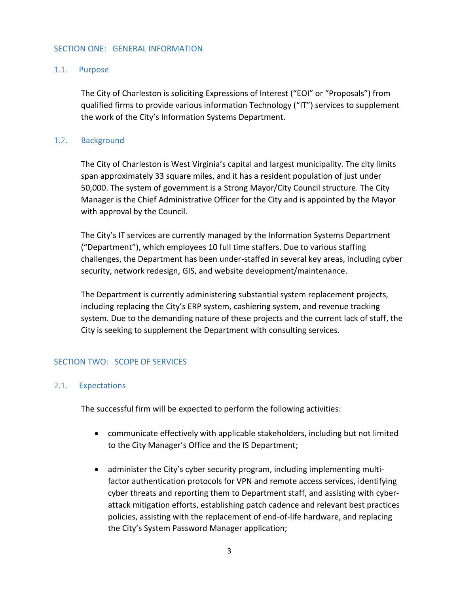#### <span id="page-2-1"></span><span id="page-2-0"></span>SECTION ONE: GENERAL INFORMATION

#### 1.1. Purpose

The City of Charleston is soliciting Expressions of Interest ("EOI" or "Proposals") from qualified firms to provide various information Technology ("IT") services to supplement the work of the City's Information Systems Department.

#### 1.2. Background

<span id="page-2-2"></span>The City of Charleston is West Virginia's capital and largest municipality. The city limits span approximately 33 square miles, and it has a resident population of just under 50,000. The system of government is a Strong Mayor/City Council structure. The City Manager is the Chief Administrative Officer for the City and is appointed by the Mayor with approval by the Council.

The City's IT services are currently managed by the Information Systems Department ("Department"), which employees 10 full time staffers. Due to various staffing challenges, the Department has been under-staffed in several key areas, including cyber security, network redesign, GIS, and website development/maintenance.

The Department is currently administering substantial system replacement projects, including replacing the City's ERP system, cashiering system, and revenue tracking system. Due to the demanding nature of these projects and the current lack of staff, the City is seeking to supplement the Department with consulting services.

#### <span id="page-2-3"></span>SECTION TWO: SCOPE OF SERVICES

#### <span id="page-2-4"></span>2.1. Expectations

The successful firm will be expected to perform the following activities:

- communicate effectively with applicable stakeholders, including but not limited to the City Manager's Office and the IS Department;
- administer the City's cyber security program, including implementing multifactor authentication protocols for VPN and remote access services, identifying cyber threats and reporting them to Department staff, and assisting with cyberattack mitigation efforts, establishing patch cadence and relevant best practices policies, assisting with the replacement of end-of-life hardware, and replacing the City's System Password Manager application;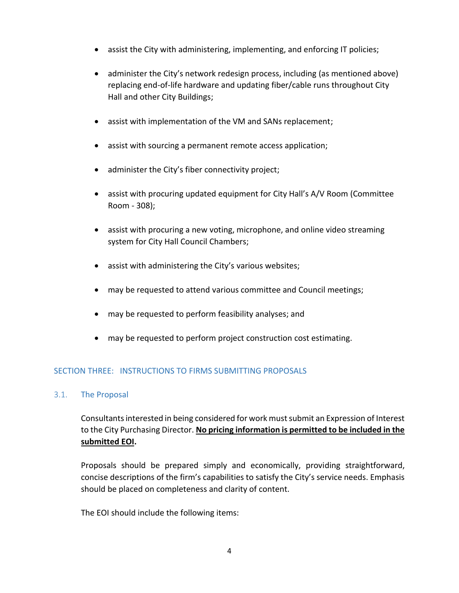- assist the City with administering, implementing, and enforcing IT policies;
- administer the City's network redesign process, including (as mentioned above) replacing end-of-life hardware and updating fiber/cable runs throughout City Hall and other City Buildings;
- assist with implementation of the VM and SANs replacement;
- assist with sourcing a permanent remote access application;
- administer the City's fiber connectivity project;
- assist with procuring updated equipment for City Hall's A/V Room (Committee Room - 308);
- assist with procuring a new voting, microphone, and online video streaming system for City Hall Council Chambers;
- assist with administering the City's various websites;
- may be requested to attend various committee and Council meetings;
- may be requested to perform feasibility analyses; and
- may be requested to perform project construction cost estimating.

# <span id="page-3-0"></span>SECTION THREE: INSTRUCTIONS TO FIRMS SUBMITTING PROPOSALS

# <span id="page-3-1"></span>3.1. The Proposal

Consultants interested in being considered for work must submit an Expression of Interest to the City Purchasing Director. **No pricing information is permitted to be included in the submitted EOI.**

Proposals should be prepared simply and economically, providing straightforward, concise descriptions of the firm's capabilities to satisfy the City's service needs. Emphasis should be placed on completeness and clarity of content.

The EOI should include the following items: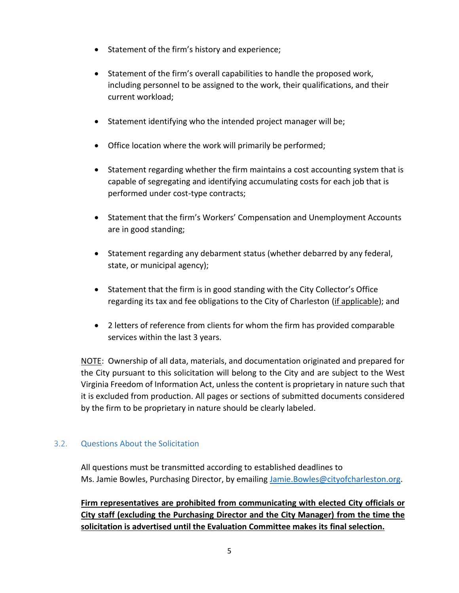- Statement of the firm's history and experience;
- Statement of the firm's overall capabilities to handle the proposed work, including personnel to be assigned to the work, their qualifications, and their current workload;
- Statement identifying who the intended project manager will be;
- Office location where the work will primarily be performed;
- Statement regarding whether the firm maintains a cost accounting system that is capable of segregating and identifying accumulating costs for each job that is performed under cost-type contracts;
- Statement that the firm's Workers' Compensation and Unemployment Accounts are in good standing;
- Statement regarding any debarment status (whether debarred by any federal, state, or municipal agency);
- Statement that the firm is in good standing with the City Collector's Office regarding its tax and fee obligations to the City of Charleston (if applicable); and
- 2 letters of reference from clients for whom the firm has provided comparable services within the last 3 years.

NOTE: Ownership of all data, materials, and documentation originated and prepared for the City pursuant to this solicitation will belong to the City and are subject to the West Virginia Freedom of Information Act, unless the content is proprietary in nature such that it is excluded from production. All pages or sections of submitted documents considered by the firm to be proprietary in nature should be clearly labeled.

# <span id="page-4-0"></span>3.2. Questions About the Solicitation

All questions must be transmitted according to established deadlines to Ms. Jamie Bowles, Purchasing Director, by emailing [Jamie.Bowles@cityofcharleston.org.](mailto:Jamie.Bowles@cityofcharleston.org)

**Firm representatives are prohibited from communicating with elected City officials or City staff (excluding the Purchasing Director and the City Manager) from the time the solicitation is advertised until the Evaluation Committee makes its final selection.**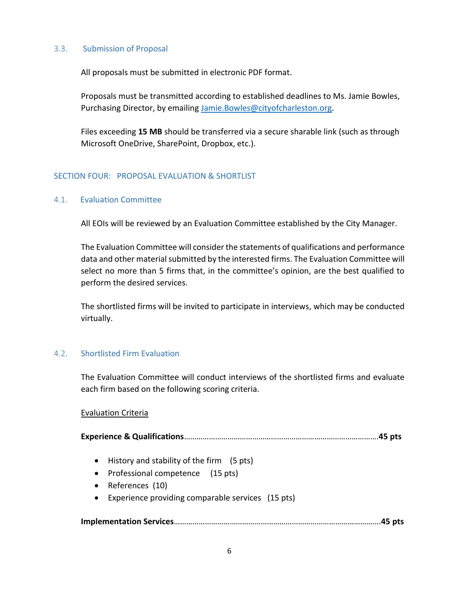#### 3.3. Submission of Proposal

<span id="page-5-0"></span>All proposals must be submitted in electronic PDF format.

Proposals must be transmitted according to established deadlines to Ms. Jamie Bowles, Purchasing Director, by emailing [Jamie.Bowles@cityofcharleston.org.](mailto:Jamie.Bowles@cityofcharleston.org)

Files exceeding **15 MB** should be transferred via a secure sharable link (such as through Microsoft OneDrive, SharePoint, Dropbox, etc.).

#### <span id="page-5-1"></span>SECTION FOUR: PROPOSAL EVALUATION & SHORTLIST

#### <span id="page-5-2"></span>4.1. Evaluation Committee

All EOIs will be reviewed by an Evaluation Committee established by the City Manager.

The Evaluation Committee will consider the statements of qualifications and performance data and other material submitted by the interested firms. The Evaluation Committee will select no more than 5 firms that, in the committee's opinion, are the best qualified to perform the desired services.

The shortlisted firms will be invited to participate in interviews, which may be conducted virtually.

#### <span id="page-5-3"></span>4.2. Shortlisted Firm Evaluation

The Evaluation Committee will conduct interviews of the shortlisted firms and evaluate each firm based on the following scoring criteria.

#### Evaluation Criteria

| • History and stability of the firm $(5 \text{ pts})$<br>• Professional competence (15 pts)<br>References (10)<br>$\bullet$<br>Experience providing comparable services (15 pts)<br>$\bullet$ |  |
|-----------------------------------------------------------------------------------------------------------------------------------------------------------------------------------------------|--|
|                                                                                                                                                                                               |  |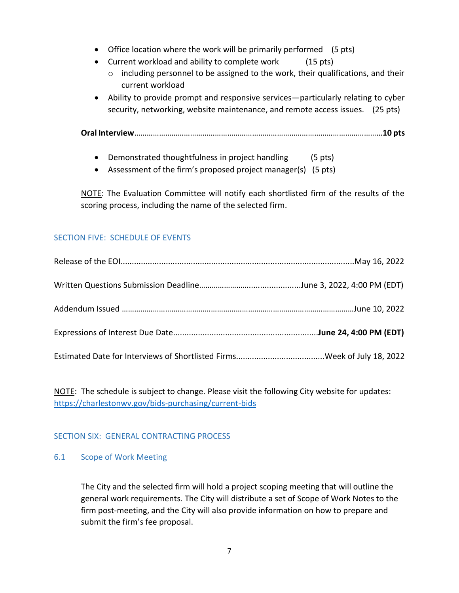- Office location where the work will be primarily performed (5 pts)
- Current workload and ability to complete work (15 pts)
	- o including personnel to be assigned to the work, their qualifications, and their current workload
- Ability to provide prompt and responsive services—particularly relating to cyber security, networking, website maintenance, and remote access issues. (25 pts)

**Oral Interview**…………………………………………………………………………………………………………**10 pts**

- Demonstrated thoughtfulness in project handling (5 pts)
- Assessment of the firm's proposed project manager(s) (5 pts)

NOTE: The Evaluation Committee will notify each shortlisted firm of the results of the scoring process, including the name of the selected firm.

### <span id="page-6-0"></span>SECTION FIVE: SCHEDULE OF EVENTS

NOTE: The schedule is subject to change. Please visit the following City website for updates: <https://charlestonwv.gov/bids-purchasing/current-bids>

# <span id="page-6-1"></span>SECTION SIX: GENERAL CONTRACTING PROCESS

#### <span id="page-6-2"></span>6.1 Scope of Work Meeting

The City and the selected firm will hold a project scoping meeting that will outline the general work requirements. The City will distribute a set of Scope of Work Notes to the firm post-meeting, and the City will also provide information on how to prepare and submit the firm's fee proposal.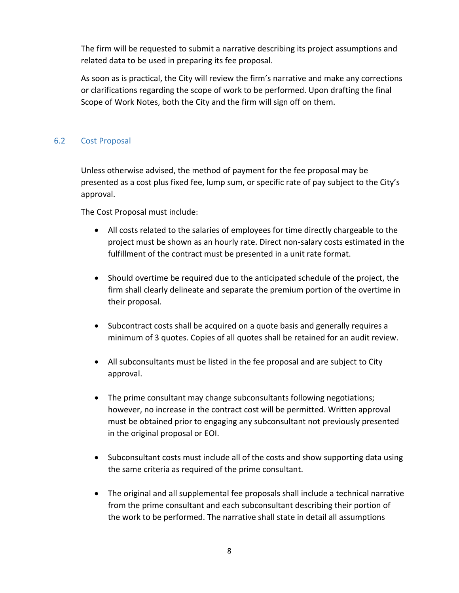The firm will be requested to submit a narrative describing its project assumptions and related data to be used in preparing its fee proposal.

As soon as is practical, the City will review the firm's narrative and make any corrections or clarifications regarding the scope of work to be performed. Upon drafting the final Scope of Work Notes, both the City and the firm will sign off on them.

# <span id="page-7-0"></span>6.2 Cost Proposal

Unless otherwise advised, the method of payment for the fee proposal may be presented as a cost plus fixed fee, lump sum, or specific rate of pay subject to the City's approval.

The Cost Proposal must include:

- All costs related to the salaries of employees for time directly chargeable to the project must be shown as an hourly rate. Direct non-salary costs estimated in the fulfillment of the contract must be presented in a unit rate format.
- Should overtime be required due to the anticipated schedule of the project, the firm shall clearly delineate and separate the premium portion of the overtime in their proposal.
- Subcontract costs shall be acquired on a quote basis and generally requires a minimum of 3 quotes. Copies of all quotes shall be retained for an audit review.
- All subconsultants must be listed in the fee proposal and are subject to City approval.
- The prime consultant may change subconsultants following negotiations; however, no increase in the contract cost will be permitted. Written approval must be obtained prior to engaging any subconsultant not previously presented in the original proposal or EOI.
- Subconsultant costs must include all of the costs and show supporting data using the same criteria as required of the prime consultant.
- The original and all supplemental fee proposals shall include a technical narrative from the prime consultant and each subconsultant describing their portion of the work to be performed. The narrative shall state in detail all assumptions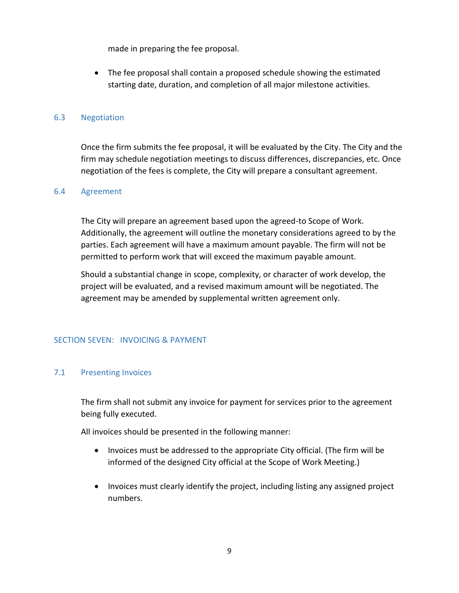made in preparing the fee proposal.

• The fee proposal shall contain a proposed schedule showing the estimated starting date, duration, and completion of all major milestone activities.

#### <span id="page-8-0"></span>6.3 Negotiation

Once the firm submits the fee proposal, it will be evaluated by the City. The City and the firm may schedule negotiation meetings to discuss differences, discrepancies, etc. Once negotiation of the fees is complete, the City will prepare a consultant agreement.

#### <span id="page-8-1"></span>6.4 Agreement

The City will prepare an agreement based upon the agreed-to Scope of Work. Additionally, the agreement will outline the monetary considerations agreed to by the parties. Each agreement will have a maximum amount payable. The firm will not be permitted to perform work that will exceed the maximum payable amount.

Should a substantial change in scope, complexity, or character of work develop, the project will be evaluated, and a revised maximum amount will be negotiated. The agreement may be amended by supplemental written agreement only.

#### <span id="page-8-2"></span>SECTION SEVEN: INVOICING & PAYMENT

#### <span id="page-8-3"></span>7.1 Presenting Invoices

The firm shall not submit any invoice for payment for services prior to the agreement being fully executed.

All invoices should be presented in the following manner:

- Invoices must be addressed to the appropriate City official. (The firm will be informed of the designed City official at the Scope of Work Meeting.)
- Invoices must clearly identify the project, including listing any assigned project numbers.